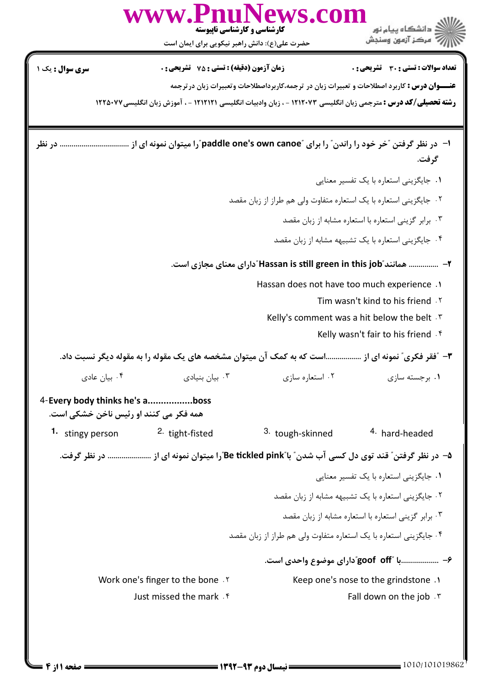|                                                                          | www.PnuNews.com<br>کارشناسی و کارشناسی ناپیوسته<br>حضرت علی(ع): دانش راهبر نیکویی برای ایمان است                       |                                                                   | ، دانشگاه پيام نور<br>" مرڪز آزمون وسنڊش                                                           |  |
|--------------------------------------------------------------------------|------------------------------------------------------------------------------------------------------------------------|-------------------------------------------------------------------|----------------------------------------------------------------------------------------------------|--|
| <b>سری سوال :</b> یک ۱                                                   | زمان آزمون (دقیقه) : تستی : 75 گشریحی : 0                                                                              |                                                                   | تعداد سوالات : تستى : 30 قشريحى : 0                                                                |  |
|                                                                          |                                                                                                                        |                                                                   | <b>عنـــوان درس :</b> کاربرد اصطلاحات و تعبیرات زبان در ترجمه،کاربرداصطلاحات وتعبیرات زبان درترجمه |  |
|                                                                          | <b>رشته تحصیلی/کد درس :</b> مترجمی زبان انگلیسی ۱۲۱۲۰۷۳ - ، زبان وادبیات انگلیسی ۱۲۱۲۱۲۱ - ، آموزش زبان انگلیسی۱۲۲۵۰۷۷ |                                                                   |                                                                                                    |  |
|                                                                          |                                                                                                                        |                                                                   | گرفت.                                                                                              |  |
|                                                                          |                                                                                                                        |                                                                   | ٠١ جايگزيني استعاره با يک تفسير معنايي                                                             |  |
|                                                                          |                                                                                                                        | ۰۲ جایگزینی استعاره با یک استعاره متفاوت ولی هم طراز از زبان مقصد |                                                                                                    |  |
|                                                                          |                                                                                                                        |                                                                   | ۰۳ برابر گزینی استعاره با استعاره مشابه از زبان مقصد                                               |  |
|                                                                          |                                                                                                                        |                                                                   | ۰۴ جایگزینی استعاره با یک تشبیهه مشابه از زبان مقصد                                                |  |
| ۲–   همانند "Hassan is still green in this job" دارای معنای مجازی است.   |                                                                                                                        |                                                                   |                                                                                                    |  |
|                                                                          |                                                                                                                        | Hassan does not have too much experience .1                       |                                                                                                    |  |
|                                                                          |                                                                                                                        |                                                                   | Tim wasn't kind to his friend . Y                                                                  |  |
|                                                                          |                                                                                                                        |                                                                   | Kelly's comment was a hit below the belt . \van                                                    |  |
|                                                                          |                                                                                                                        |                                                                   | Kelly wasn't fair to his friend . f                                                                |  |
|                                                                          | ۳- ″فقر فکری″ نمونه ای از است که به کمک آن میتوان مشخصه های یک مقوله را به مقوله دیگر نسبت داد.                        |                                                                   |                                                                                                    |  |
| ۰۴ بیان عادی                                                             | ۰۳ بیان بنیادی                                                                                                         | ۰۲ استعاره سازی                                                   | ۰۱ برجسته سازی                                                                                     |  |
| 4-Every body thinks he's aboss<br>همه فکر می کنند او رئیس ناخن خشکی است. |                                                                                                                        |                                                                   |                                                                                                    |  |
| 1. stingy person                                                         | <sup>2.</sup> tight-fisted                                                                                             | 3. tough-skinned                                                  | <sup>4.</sup> hard-headed                                                                          |  |
|                                                                          | ۵− در نظر گرفتن ؒ قند توی دل کسی آب شدن ؒ با ؓBe tickled pink ٌرا میتوان نمونه ای از  در نظر گرفت.                     |                                                                   |                                                                                                    |  |
|                                                                          |                                                                                                                        |                                                                   | ۰۱ جایگزینی استعاره با یک تفسیر معنایی                                                             |  |
|                                                                          |                                                                                                                        |                                                                   | ۰۲ جایگزینی استعاره با یک تشبیهه مشابه از زبان مقصد                                                |  |
|                                                                          |                                                                                                                        |                                                                   | ۰۳ برابر گزینی استعاره با استعاره مشابه از زبان مقصد                                               |  |
|                                                                          |                                                                                                                        | ۰۴ جایگزینی استعاره با یک استعاره متفاوت ولی هم طراز از زبان مقصد |                                                                                                    |  |
|                                                                          |                                                                                                                        |                                                                   | ۶– با "goof off"دارای موضوع واحدی است.                                                             |  |
| Work one's finger to the bone .Y                                         |                                                                                                                        |                                                                   | Keep one's nose to the grindstone .1                                                               |  |
|                                                                          | Just missed the mark f                                                                                                 |                                                                   | Fall down on the job . \v                                                                          |  |
|                                                                          |                                                                                                                        |                                                                   |                                                                                                    |  |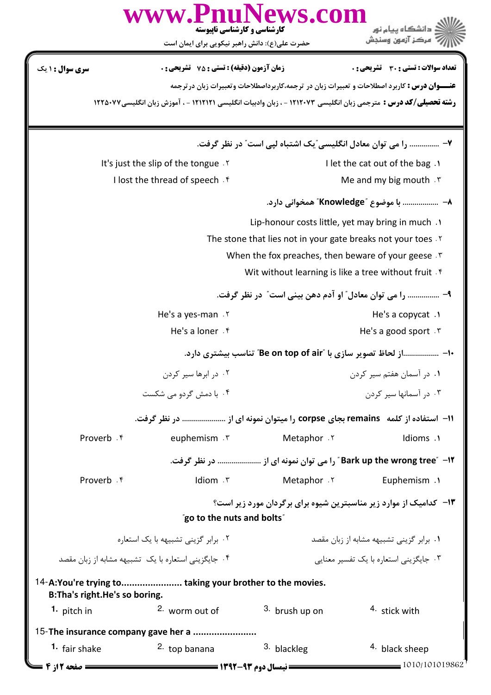|                                                                                             | کارشناسی و کارشناسی ناپیوسته                                                                                           | ews.com                                           | د دانشگاه پيام نور                                                                                 |  |
|---------------------------------------------------------------------------------------------|------------------------------------------------------------------------------------------------------------------------|---------------------------------------------------|----------------------------------------------------------------------------------------------------|--|
|                                                                                             | حضرت علی(ع): دانش راهبر نیکویی برای ایمان است                                                                          |                                                   | " مرڪز آزمون وسنڊش                                                                                 |  |
| سری سوال : ۱ یک                                                                             | <b>زمان آزمون (دقیقه) : تستی : 75 ٪ تشریحی : 0</b>                                                                     |                                                   | <b>تعداد سوالات : تستی : 30 ٪ تشریحی : 0</b>                                                       |  |
|                                                                                             |                                                                                                                        |                                                   | <b>عنـــوان درس :</b> کاربرد اصطلاحات و تعبیرات زبان در ترجمه،کاربرداصطلاحات وتعبیرات زبان درترجمه |  |
|                                                                                             | <b>رشته تحصیلی/کد درس :</b> مترجمی زبان انگلیسی ۱۲۱۲۰۷۳ - ، زبان وادبیات انگلیسی ۱۲۱۲۱۲۱ - ، آموزش زبان انگلیسی۱۲۲۵۰۷۷ |                                                   |                                                                                                    |  |
|                                                                                             |                                                                                                                        |                                                   | ۷-  را می توان معادل انگلیسی ّیک اشتباه لپی است″ در نظر گرفت.                                      |  |
|                                                                                             | It's just the slip of the tongue . Y                                                                                   |                                                   | I let the cat out of the bag .                                                                     |  |
|                                                                                             | I lost the thread of speech. $f$                                                                                       |                                                   | Me and my big mouth $\cdot$ $\cdot$                                                                |  |
|                                                                                             |                                                                                                                        |                                                   | ٨-   با موضوع "Knowledge" همخواني دارد.                                                            |  |
|                                                                                             |                                                                                                                        | Lip-honour costs little, yet may bring in much .1 |                                                                                                    |  |
|                                                                                             | The stone that lies not in your gate breaks not your toes .Y                                                           |                                                   |                                                                                                    |  |
|                                                                                             | When the fox preaches, then beware of your geese.<br>Wit without learning is like a tree without fruit . f             |                                                   |                                                                                                    |  |
|                                                                                             |                                                                                                                        |                                                   |                                                                                                    |  |
|                                                                                             |                                                                                                                        |                                                   | ۹– …………… را می توان معادل" او آدم دهن بینی است" در نظر گرفت.                                       |  |
|                                                                                             | He's a yes-man.                                                                                                        |                                                   | He's a copycat $\cdot$                                                                             |  |
|                                                                                             | He's a loner . f<br>He's a good sport $\cdot$ $\cdot$                                                                  |                                                   |                                                                                                    |  |
|                                                                                             |                                                                                                                        |                                                   | ∙ا− از لحاظ تصوير سازي با "Be on top of air" تناسب بيشتري دارد.                                    |  |
| ۰۲ در ابرها سیر کردن                                                                        |                                                                                                                        |                                                   | ۰۱ در آسمان هفتم سیر کردن                                                                          |  |
| ۴. با دمش گردو می شکست                                                                      |                                                                                                                        |                                                   | ۰۳ در آسمانها سیر کردن                                                                             |  |
|                                                                                             | 1۱– استفاده از کلمه   remains بجای corpse را میتوان نمونه ای از  در نظر گرفت.                                          |                                                   |                                                                                                    |  |
| Proverb . ۴                                                                                 | euphemism . r                                                                                                          | Metaphor . ٢                                      | Idioms .1                                                                                          |  |
|                                                                                             |                                                                                                                        |                                                   | ۱۲ – "Bark up the wrong tree" را می توان نمونه ای از  در نظر گرفت.                                 |  |
| Proverb . f                                                                                 | Idiom . ٣                                                                                                              | Metaphor Y                                        | Euphemism .1                                                                                       |  |
|                                                                                             | "go to the nuts and bolts"                                                                                             |                                                   | <b>۱۳</b> - کدامیک از موارد زیر مناسبترین شیوه برای برگردان مورد زیر است؟                          |  |
| ۰۲ برابر گزینی تشبیهه با یک استعاره<br>۰۱ برابر گزینی تشبیهه مشابه از زبان مقصد             |                                                                                                                        |                                                   |                                                                                                    |  |
| ۰۴ جایگزینی استعاره با یک تشبیهه مشابه از زبان مقصد                                         |                                                                                                                        |                                                   | ۰۳ جایگزینی استعاره با یک تفسیر معنایی                                                             |  |
| 14-A:You're trying to taking your brother to the movies.<br>B: Tha's right. He's so boring. |                                                                                                                        |                                                   |                                                                                                    |  |
| 1. pitch in                                                                                 | 2. worm out of                                                                                                         | 3. brush up on                                    | <sup>4</sup> stick with                                                                            |  |
|                                                                                             | 15-The insurance company gave her a                                                                                    |                                                   |                                                                                                    |  |
| <sup>1</sup> fair shake                                                                     | <sup>2.</sup> top banana                                                                                               | 3. blackleg                                       | 4. black sheep                                                                                     |  |
| = صفحه 12; 4                                                                                |                                                                                                                        |                                                   | 1010/101019862                                                                                     |  |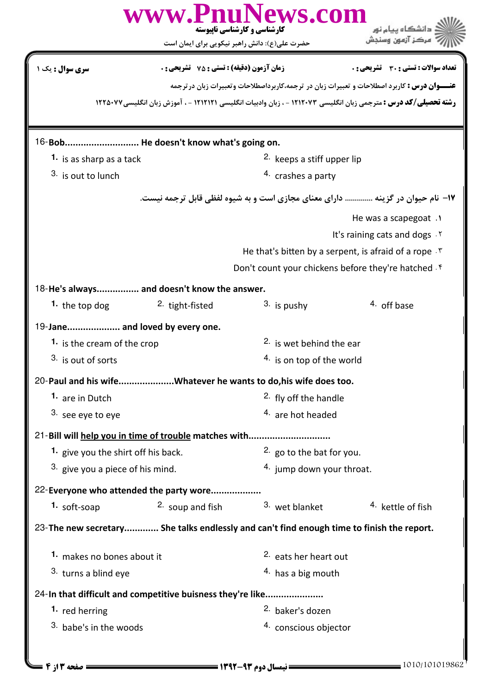|                                                                                           | www.PnuNews.com                                  | کارشناسی و کارشناسی ناپیوسته<br>حضرت علی(ع): دانش راهبر نیکویی برای ایمان است | مركز آزمون وسنجش                                                                                                       |  |
|-------------------------------------------------------------------------------------------|--------------------------------------------------|-------------------------------------------------------------------------------|------------------------------------------------------------------------------------------------------------------------|--|
| <b>سری سوال :</b> یک                                                                      | <b>زمان آزمون (دقیقه) : تستی : 75 تشریحی : 0</b> |                                                                               | <b>تعداد سوالات : تستی : 30 ٪ تشریحی : 0</b>                                                                           |  |
|                                                                                           |                                                  |                                                                               | <b>عنـــوان درس :</b> کاربرد اصطلاحات و تعبیرات زبان در ترجمه،کاربرداصطلاحات وتعبیرات زبان درترجمه                     |  |
|                                                                                           |                                                  |                                                                               | <b>رشته تحصیلی/کد درس :</b> مترجمی زبان انگلیسی ۱۲۱۲۰۷۳ - ، زبان وادبیات انگلیسی ۱۲۱۲۱۲۱ - ، آموزش زبان انگلیسی۱۲۲۵۰۷۷ |  |
| 16-Bob He doesn't know what's going on.                                                   |                                                  |                                                                               |                                                                                                                        |  |
| 1. is as sharp as a tack                                                                  |                                                  | <sup>2.</sup> keeps a stiff upper lip                                         |                                                                                                                        |  |
| 3. is out to lunch                                                                        |                                                  | 4. crashes a party                                                            |                                                                                                                        |  |
|                                                                                           |                                                  |                                                                               | ۱۷- نام حیوان در گزینه  دارای معنای مجازی است و به شیوه لفظی قابل ترجمه نیست.                                          |  |
|                                                                                           |                                                  |                                                                               | He was a scapegoat .                                                                                                   |  |
|                                                                                           |                                                  |                                                                               | It's raining cats and dogs . Y                                                                                         |  |
|                                                                                           |                                                  |                                                                               | He that's bitten by a serpent, is afraid of a rope . T                                                                 |  |
|                                                                                           |                                                  |                                                                               | Don't count your chickens before they're hatched f                                                                     |  |
| 18-He's always and doesn't know the answer.                                               |                                                  |                                                                               |                                                                                                                        |  |
| <sup>1</sup> the top dog                                                                  | <sup>2.</sup> tight-fisted                       | $3.$ is pushy                                                                 | 4. off base                                                                                                            |  |
| 19-Jane and loved by every one.                                                           |                                                  |                                                                               |                                                                                                                        |  |
| 1. is the cream of the crop                                                               |                                                  | <sup>2.</sup> is wet behind the ear                                           |                                                                                                                        |  |
| 3. is out of sorts                                                                        |                                                  | 4. is on top of the world                                                     |                                                                                                                        |  |
| 20-Paul and his wifeWhatever he wants to do, his wife does too.                           |                                                  |                                                                               |                                                                                                                        |  |
| 1. are in Dutch                                                                           |                                                  | <sup>2.</sup> fly off the handle                                              |                                                                                                                        |  |
| 3. see eye to eye                                                                         |                                                  | 4. are hot headed                                                             |                                                                                                                        |  |
| 21-Bill will help you in time of trouble matches with                                     |                                                  |                                                                               |                                                                                                                        |  |
| 1. give you the shirt off his back.                                                       |                                                  |                                                                               | 2. go to the bat for you.                                                                                              |  |
| 3. give you a piece of his mind.                                                          |                                                  |                                                                               | 4. jump down your throat.                                                                                              |  |
| 22-Everyone who attended the party wore                                                   |                                                  |                                                                               |                                                                                                                        |  |
| 1. soft-soap                                                                              | <sup>2.</sup> soup and fish                      | 3. wet blanket                                                                | <sup>4</sup> kettle of fish                                                                                            |  |
| 23-The new secretary She talks endlessly and can't find enough time to finish the report. |                                                  |                                                                               |                                                                                                                        |  |
| 1. makes no bones about it                                                                |                                                  | <sup>2.</sup> eats her heart out                                              |                                                                                                                        |  |
| 3. turns a blind eye                                                                      |                                                  | $4.$ has a big mouth                                                          |                                                                                                                        |  |
| 24-In that difficult and competitive buisness they're like                                |                                                  |                                                                               |                                                                                                                        |  |
| 1. red herring                                                                            |                                                  | <sup>2.</sup> baker's dozen                                                   |                                                                                                                        |  |
| 3. babe's in the woods                                                                    |                                                  | 4. conscious objector                                                         |                                                                                                                        |  |
|                                                                                           |                                                  |                                                                               |                                                                                                                        |  |
| ـــ صفحه ۱۳ ; ۴                                                                           |                                                  |                                                                               | 1010/101019862                                                                                                         |  |